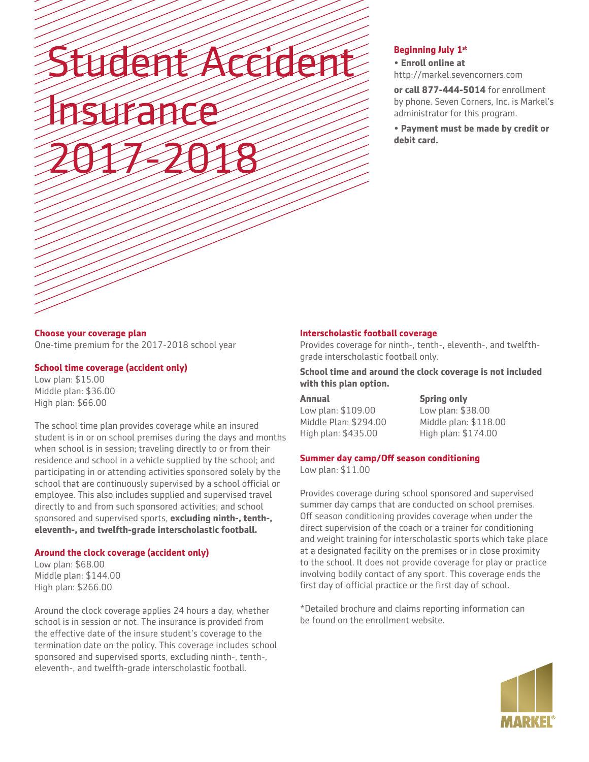Student Accident Insurance 2017-2018

## **Beginning July 1st**

## • **Enroll online at**

http://markel.sevencorners.com

**or call 877-444-5014** for enrollment by phone. Seven Corners, Inc. is Markel's administrator for this program.

**• Payment must be made by credit or debit card.**

## **Choose your coverage plan** One-time premium for the 2017-2018 school year

## **School time coverage (accident only)**

Low plan: \$15.00 Middle plan: \$36.00 High plan: \$66.00

The school time plan provides coverage while an insured student is in or on school premises during the days and months when school is in session; traveling directly to or from their residence and school in a vehicle supplied by the school; and participating in or attending activities sponsored solely by the school that are continuously supervised by a school official or employee. This also includes supplied and supervised travel directly to and from such sponsored activities; and school sponsored and supervised sports, **excluding ninth-, tenth-, eleventh-, and twelfth-grade interscholastic football.**

## **Around the clock coverage (accident only)**

Low plan: \$68.00 Middle plan: \$144.00 High plan: \$266.00

Around the clock coverage applies 24 hours a day, whether school is in session or not. The insurance is provided from the effective date of the insure student's coverage to the termination date on the policy. This coverage includes school sponsored and supervised sports, excluding ninth-, tenth-, eleventh-, and twelfth-grade interscholastic football.

## **Interscholastic football coverage**

Provides coverage for ninth-, tenth-, eleventh-, and twelfthgrade interscholastic football only.

**School time and around the clock coverage is not included with this plan option.**

| Annual                | <b>Spr</b> |
|-----------------------|------------|
| Low plan: \$109.00    | Lov        |
| Middle Plan: \$294.00 | Mid        |
| High plan: \$435.00   | Hig        |

**Spring only** Low plan: \$38.00 Idle plan: \$118.00 h plan: \$174.00

## **Summer day camp/Off season conditioning**

Low plan: \$11.00

Provides coverage during school sponsored and supervised summer day camps that are conducted on school premises. Off season conditioning provides coverage when under the direct supervision of the coach or a trainer for conditioning and weight training for interscholastic sports which take place at a designated facility on the premises or in close proximity to the school. It does not provide coverage for play or practice involving bodily contact of any sport. This coverage ends the first day of official practice or the first day of school.

\*Detailed brochure and claims reporting information can be found on the enrollment website.

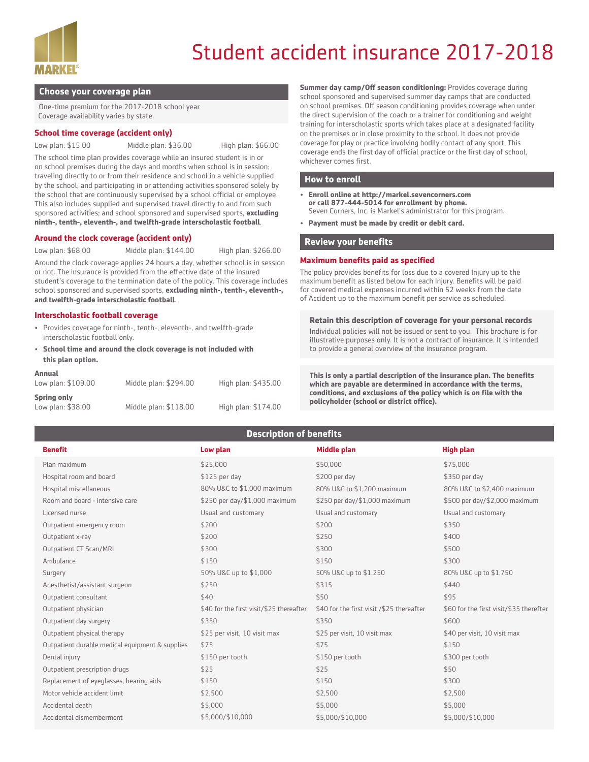

# Student accident insurance 2017-2018

## **Choose your coverage plan**

One-time premium for the 2017-2018 school year Coverage availability varies by state.

#### **School time coverage (accident only)**

Low plan: \$15.00 Middle plan: \$36.00 High plan: \$66.00

The school time plan provides coverage while an insured student is in or on school premises during the days and months when school is in session; traveling directly to or from their residence and school in a vehicle supplied by the school; and participating in or attending activities sponsored solely by the school that are continuously supervised by a school official or employee. This also includes supplied and supervised travel directly to and from such sponsored activities; and school sponsored and supervised sports, **excluding ninth-, tenth-, eleventh-, and twelfth-grade interscholastic football**.

#### **Around the clock coverage (accident only)**

Low plan: \$68.00 Middle plan: \$144.00 High plan: \$266.00

Around the clock coverage applies 24 hours a day, whether school is in session or not. The insurance is provided from the effective date of the insured student's coverage to the termination date of the policy. This coverage includes school sponsored and supervised sports, **excluding ninth-, tenth-, eleventh-, and twelfth-grade interscholastic football**.

#### **Interscholastic football coverage**

- Provides coverage for ninth-, tenth-, eleventh-, and twelfth-grade interscholastic football only.
- **School time and around the clock coverage is not included with this plan option.**

| Annual             |                       |                     |
|--------------------|-----------------------|---------------------|
| Low plan: \$109.00 | Middle plan: \$294.00 | High plan: \$435.00 |
| <b>Spring only</b> |                       |                     |
| Low plan: \$38.00  | Middle plan: \$118.00 | High plan: \$174.00 |

**Summer day camp/Off season conditioning:** Provides coverage during school sponsored and supervised summer day camps that are conducted on school premises. Off season conditioning provides coverage when under the direct supervision of the coach or a trainer for conditioning and weight training for interscholastic sports which takes place at a designated facility on the premises or in close proximity to the school. It does not provide coverage for play or practice involving bodily contact of any sport. This coverage ends the first day of official practice or the first day of school, whichever comes first.

#### **How to enroll**

- **• Enroll online at http://markel.sevencorners.com or call 877-444-5014 for enrollment by phone.**  Seven Corners, Inc. is Markel's administrator for this program.
- **• Payment must be made by credit or debit card.**

#### **Review your benefits**

#### **Maximum benefits paid as specified**

The policy provides benefits for loss due to a covered Injury up to the maximum benefit as listed below for each Injury. Benefits will be paid for covered medical expenses incurred within 52 weeks from the date of Accident up to the maximum benefit per service as scheduled.

#### **Retain this description of coverage for your personal records**

Individual policies will not be issued or sent to you. This brochure is for illustrative purposes only. It is not a contract of insurance. It is intended to provide a general overview of the insurance program.

**This is only a partial description of the insurance plan. The benefits which are payable are determined in accordance with the terms, conditions, and exclusions of the policy which is on file with the policyholder (school or district office).**

# **Description of benefits**

| <b>Benefit</b>                                  | Low plan                                 | <b>Middle plan</b>                        | <b>High plan</b>                        |
|-------------------------------------------------|------------------------------------------|-------------------------------------------|-----------------------------------------|
| Plan maximum                                    | \$25,000                                 | \$50,000                                  | \$75,000                                |
| Hospital room and board                         | $$125$ per day                           | \$200 per day                             | \$350 per day                           |
| Hospital miscellaneous                          | 80% U&C to \$1,000 maximum               | 80% U&C to \$1,200 maximum                | 80% U&C to \$2,400 maximum              |
| Room and board - intensive care                 | \$250 per day/\$1,000 maximum            | \$250 per day/\$1,000 maximum             | \$500 per day/\$2,000 maximum           |
| Licensed nurse                                  | Usual and customary                      | Usual and customary                       | Usual and customary                     |
| Outpatient emergency room                       | \$200                                    | \$200                                     | \$350                                   |
| Outpatient x-ray                                | \$200                                    | \$250                                     | \$400                                   |
| Outpatient CT Scan/MRI                          | \$300                                    | \$300                                     | \$500                                   |
| Ambulance                                       | \$150                                    | \$150                                     | \$300                                   |
| Surgery                                         | 50% U&C up to \$1,000                    | 50% U&C up to \$1,250                     | 80% U&C up to \$1,750                   |
| Anesthetist/assistant surgeon                   | \$250                                    | \$315                                     | \$440                                   |
| Outpatient consultant                           | \$40                                     | \$50                                      | \$95                                    |
| Outpatient physician                            | \$40 for the first visit/\$25 thereafter | \$40 for the first visit /\$25 thereafter | \$60 for the first visit/\$35 therefter |
| Outpatient day surgery                          | \$350                                    | \$350                                     | \$600                                   |
| Outpatient physical therapy                     | \$25 per visit, 10 visit max             | \$25 per visit, 10 visit max              | \$40 per visit, 10 visit max            |
| Outpatient durable medical equipment & supplies | \$75                                     | \$75                                      | \$150                                   |
| Dental injury                                   | \$150 per tooth                          | \$150 per tooth                           | \$300 per tooth                         |
| Outpatient prescription drugs                   | \$25                                     | \$25                                      | \$50                                    |
| Replacement of eyeglasses, hearing aids         | \$150                                    | \$150                                     | \$300                                   |
| Motor vehicle accident limit                    | \$2,500                                  | \$2,500                                   | \$2,500                                 |
| Accidental death                                | \$5,000                                  | \$5,000                                   | \$5,000                                 |
| Accidental dismemberment                        | \$5,000/\$10,000                         | \$5,000/\$10,000                          | \$5,000/\$10,000                        |